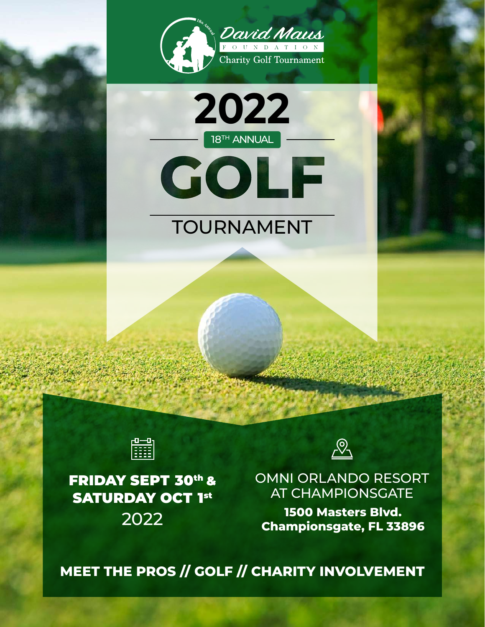







FRIDAY SEPT 30th & **SATURDAY OCT 1st** 



OMNI ORLANDO RESORT AT CHAMPIONSGATE

**1500 Masters Blvd. Championsgate, FL 33896** 2022

**MEET THE PROS // GOLF // CHARITY INVOLVEMENT**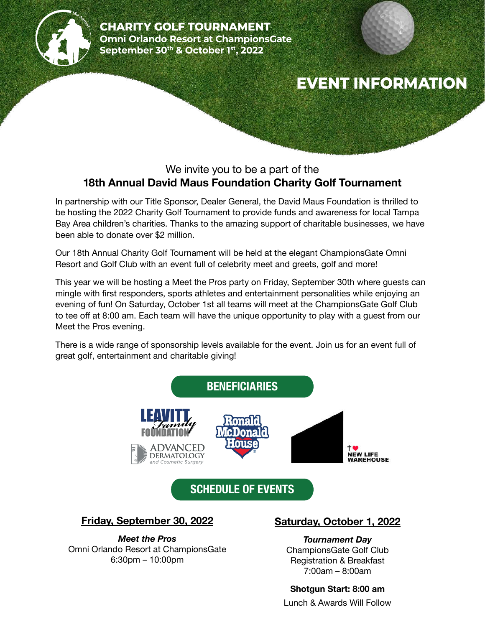

# **EVENT INFORMATION**

## We invite you to be a part of the **18th Annual David Maus Foundation Charity Golf Tournament**

In partnership with our Title Sponsor, Dealer General, the David Maus Foundation is thrilled to be hosting the 2022 Charity Golf Tournament to provide funds and awareness for local Tampa Bay Area children's charities. Thanks to the amazing support of charitable businesses, we have been able to donate over \$2 million.

Our 18th Annual Charity Golf Tournament will be held at the elegant ChampionsGate Omni Resort and Golf Club with an event full of celebrity meet and greets, golf and more!

This year we will be hosting a Meet the Pros party on Friday, September 30th where guests can mingle with first responders, sports athletes and entertainment personalities while enjoying an evening of fun! On Saturday, October 1st all teams will meet at the ChampionsGate Golf Club to tee off at 8:00 am. Each team will have the unique opportunity to play with a guest from our Meet the Pros evening.

There is a wide range of sponsorship levels available for the event. Join us for an event full of great golf, entertainment and charitable giving!



Omni Orlando Resort at ChampionsGate 6:30pm – 10:00pm

# **Saturday, October 1, 2022**

ChampionsGate Golf Club Registration & Breakfast 7:00am – 8:00am

#### **Shotgun Start: 8:00 am**

Lunch & Awards Will Follow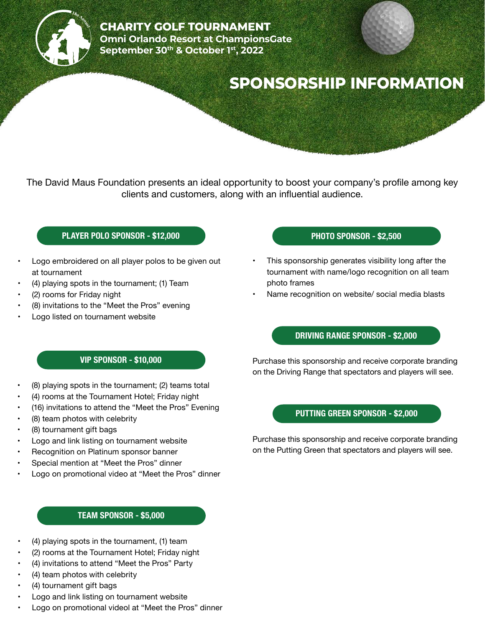

# **SPONSORSHIP INFORMATION**

The David Maus Foundation presents an ideal opportunity to boost your company's profile among key clients and customers, along with an influential audience.

#### **PLAYER POLO SPONSOR - \$12,000**

- Logo embroidered on all player polos to be given out at tournament
- (4) playing spots in the tournament; (1) Team
- (2) rooms for Friday night
- (8) invitations to the "Meet the Pros" evening
- Logo listed on tournament website

#### **PHOTO SPONSOR - \$2,500**

- This sponsorship generates visibility long after the tournament with name/logo recognition on all team photo frames
- Name recognition on website/ social media blasts

#### **VIP SPONSOR - \$10,000**

- (8) playing spots in the tournament; (2) teams total
- (4) rooms at the Tournament Hotel; Friday night
- (16) invitations to attend the "Meet the Pros" Evening
- (8) team photos with celebrity
- (8) tournament gift bags
- Logo and link listing on tournament website
- Recognition on Platinum sponsor banner
- Special mention at "Meet the Pros" dinner
- Logo on promotional video at "Meet the Pros" dinner

#### **TEAM SPONSOR - \$5,000**

- (4) playing spots in the tournament, (1) team
- (2) rooms at the Tournament Hotel; Friday night
- (4) invitations to attend "Meet the Pros" Party
- (4) team photos with celebrity
- (4) tournament gift bags
- Logo and link listing on tournament website
- Logo on promotional videol at "Meet the Pros" dinner

### **DRIVING RANGE SPONSOR - \$2,000**

Purchase this sponsorship and receive corporate branding on the Driving Range that spectators and players will see.

### **PUTTING GREEN SPONSOR - \$2,000**

Purchase this sponsorship and receive corporate branding on the Putting Green that spectators and players will see.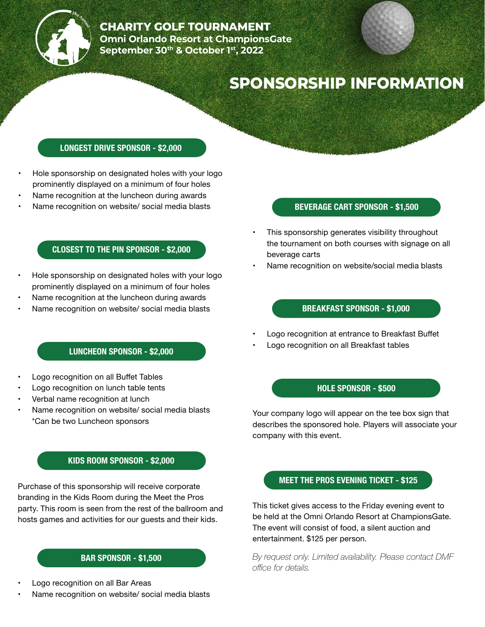

# **SPONSORSHIP INFORMATION**

#### **LONGEST DRIVE SPONSOR - \$2,000**

- Hole sponsorship on designated holes with your logo prominently displayed on a minimum of four holes
- Name recognition at the luncheon during awards
- Name recognition on website/ social media blasts

#### **CLOSEST TO THE PIN SPONSOR - \$2,000**

- Hole sponsorship on designated holes with your logo prominently displayed on a minimum of four holes
- Name recognition at the luncheon during awards
- Name recognition on website/ social media blasts

#### **LUNCHEON SPONSOR - \$2,000**

- Logo recognition on all Buffet Tables
- Logo recognition on lunch table tents
- Verbal name recognition at lunch
- Name recognition on website/ social media blasts \*Can be two Luncheon sponsors

#### **KIDS ROOM SPONSOR - \$2,000**

Purchase of this sponsorship will receive corporate branding in the Kids Room during the Meet the Pros party. This room is seen from the rest of the ballroom and hosts games and activities for our guests and their kids.

#### **BAR SPONSOR - \$1,500**

- Logo recognition on all Bar Areas
- Name recognition on website/ social media blasts

#### **BEVERAGE CART SPONSOR - \$1,500**

- This sponsorship generates visibility throughout the tournament on both courses with signage on all beverage carts
- Name recognition on website/social media blasts

#### **BREAKFAST SPONSOR - \$1,000**

- Logo recognition at entrance to Breakfast Buffet
- Logo recognition on all Breakfast tables

#### **HOLE SPONSOR - \$500**

Your company logo will appear on the tee box sign that describes the sponsored hole. Players will associate your company with this event.

### **MEET THE PROS EVENING TICKET - \$125**

This ticket gives access to the Friday evening event to be held at the Omni Orlando Resort at ChampionsGate. The event will consist of food, a silent auction and entertainment. \$125 per person.

*By request only. Limited availability. Please contact DMF office for details.*